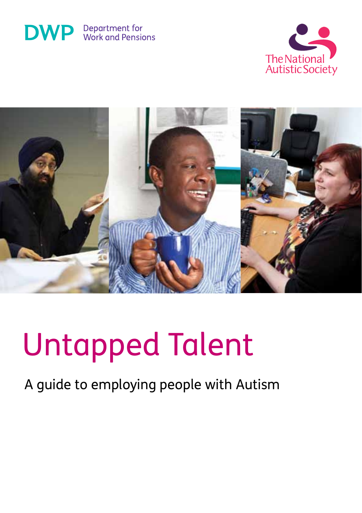





# Untapped Talent

A guide to employing people with Autism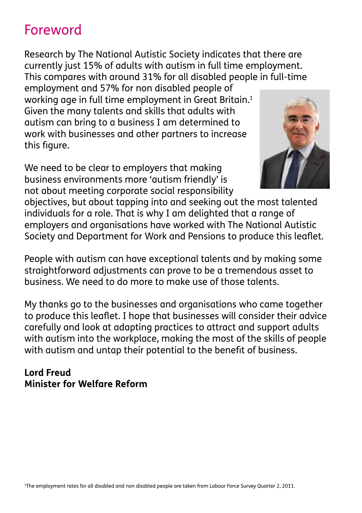## Foreword

Research by The National Autistic Society indicates that there are currently just 15% of adults with autism in full time employment. This compares with around 31% for all disabled people in full-time

employment and 57% for non disabled people of working age in full time employment in Great Britain.<sup>1</sup> Given the many talents and skills that adults with autism can bring to a business I am determined to work with businesses and other partners to increase this figure.

We need to be clear to employers that making business environments more 'autism friendly' is not about meeting corporate social responsibility



objectives, but about tapping into and seeking out the most talented individuals for a role. That is why I am delighted that a range of employers and organisations have worked with The National Autistic Society and Department for Work and Pensions to produce this leaflet.

People with autism can have exceptional talents and by making some straightforward adjustments can prove to be a tremendous asset to business. We need to do more to make use of those talents.

My thanks go to the businesses and organisations who came together to produce this leaflet. I hope that businesses will consider their advice carefully and look at adapting practices to attract and support adults with autism into the workplace, making the most of the skills of people with autism and untap their potential to the benefit of business.

#### **Lord Freud Minister for Welfare Reform**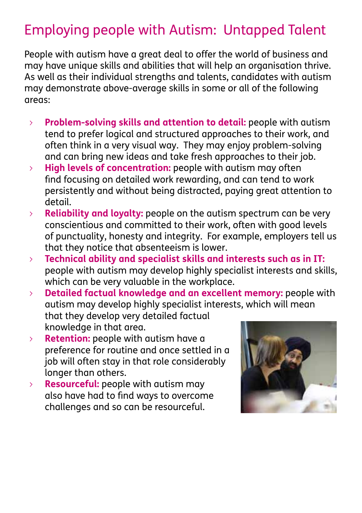## Employing people with Autism: Untapped Talent

People with autism have a great deal to offer the world of business and may have unique skills and abilities that will help an organisation thrive. As well as their individual strengths and talents, candidates with autism may demonstrate above-average skills in some or all of the following areas:

- > **Problem-solving skills and attention to detail:** people with autism tend to prefer logical and structured approaches to their work, and often think in a very visual way. They may enjoy problem-solving and can bring new ideas and take fresh approaches to their job.
- > **High levels of concentration:** people with autism may often find focusing on detailed work rewarding, and can tend to work persistently and without being distracted, paying great attention to detail.
- > **Reliability and loyalty:** people on the autism spectrum can be very conscientious and committed to their work, often with good levels of punctuality, honesty and integrity. For example, employers tell us that they notice that absenteeism is lower.
- > **Technical ability and specialist skills and interests such as in IT:** people with autism may develop highly specialist interests and skills, which can be very valuable in the workplace.
- > **Detailed factual knowledge and an excellent memory:** people with autism may develop highly specialist interests, which will mean that they develop very detailed factual knowledge in that area.
- > **Retention:** people with autism have a preference for routine and once settled in a job will often stay in that role considerably longer than others.
- > **Resourceful:** people with autism may also have had to find ways to overcome challenges and so can be resourceful.

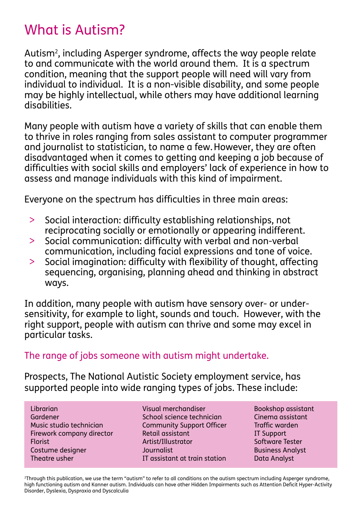## What is Autism?

Autism<sup>2</sup>, including Asperger syndrome, affects the way people relate to and communicate with the world around them. It is a spectrum condition, meaning that the support people will need will vary from individual to individual. It is a non-visible disability, and some people may be highly intellectual, while others may have additional learning disabilities.

Many people with autism have a variety of skills that can enable them to thrive in roles ranging from sales assistant to computer programmer and journalist to statistician, to name a few.However, they are often disadvantaged when it comes to getting and keeping a job because of difficulties with social skills and employers' lack of experience in how to assess and manage individuals with this kind of impairment.

Everyone on the spectrum has difficulties in three main areas:

- > Social interaction: difficulty establishing relationships, not reciprocating socially or emotionally or appearing indifferent.
- > Social communication: difficulty with verbal and non-verbal communication, including facial expressions and tone of voice.
- > Social imagination: difficulty with flexibility of thought, affecting sequencing, organising, planning ahead and thinking in abstract ways.

In addition, many people with autism have sensory over- or undersensitivity, for example to light, sounds and touch. However, with the right support, people with autism can thrive and some may excel in particular tasks.

The range of jobs someone with autism might undertake.

Prospects, The National Autistic Society employment service, has supported people into wide ranging types of jobs. These include:

Librarian Gardener Music studio technician Firework company director Florist Costume designer Theatre usher

Visual merchandiser School science technician Community Support Officer Retail assistant Artist/Illustrator Journalist IT assistant at train station

Bookshop assistant Cinema assistant Traffic warden IT Support Software Tester Business Analyst Data Analyst

2 Through this publication, we use the term "autism" to refer to all conditions on the autism spectrum including Asperger syndrome, high functioning autism and Kanner autism. Individuals can have other Hidden Impairments such as Attention Deficit Hyper-Activity Disorder, Dyslexia, Dyspraxia and Dyscalculia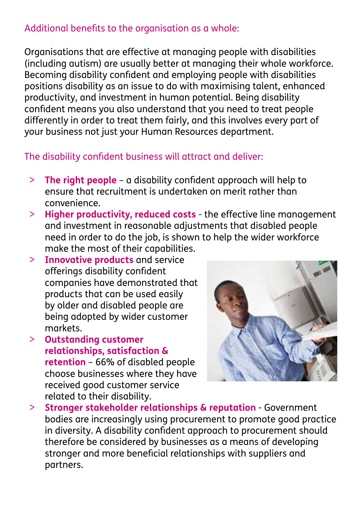#### Additional benefits to the organisation as a whole:

Organisations that are effective at managing people with disabilities (including autism) are usually better at managing their whole workforce. Becoming disability confident and employing people with disabilities positions disability as an issue to do with maximising talent, enhanced productivity, and investment in human potential. Being disability confident means you also understand that you need to treat people differently in order to treat them fairly, and this involves every part of your business not just your Human Resources department.

#### The disability confident business will attract and deliver:

- > **The right people** a disability confident approach will help to ensure that recruitment is undertaken on merit rather than convenience.
- > **Higher productivity, reduced costs** the effective line management and investment in reasonable adjustments that disabled people need in order to do the job, is shown to help the wider workforce make the most of their capabilities.
- > **Innovative products** and service offerings disability confident companies have demonstrated that products that can be used easily by older and disabled people are being adopted by wider customer markets.
- > **Outstanding customer relationships, satisfaction & retention** – 66% of disabled people choose businesses where they have received good customer service related to their disability.



> **Stronger stakeholder relationships & reputation** - Government bodies are increasingly using procurement to promote good practice in diversity. A disability confident approach to procurement should therefore be considered by businesses as a means of developing stronger and more beneficial relationships with suppliers and partners.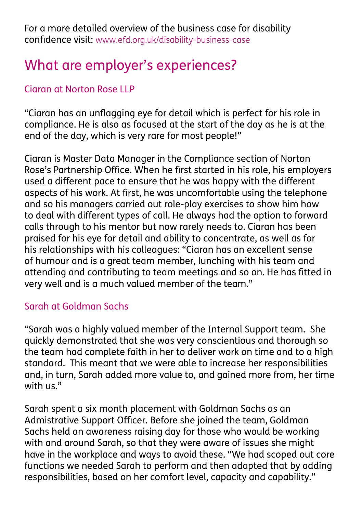For a more detailed overview of the business case for disability confidence visit: www.efd.org.uk/disability-business-case

## What are employer's experiences?

#### Ciaran at Norton Rose LLP

"Ciaran has an unflagging eye for detail which is perfect for his role in compliance. He is also as focused at the start of the day as he is at the end of the day, which is very rare for most people!"

Ciaran is Master Data Manager in the Compliance section of Norton Rose's Partnership Office. When he first started in his role, his employers used a different pace to ensure that he was happy with the different aspects of his work. At first, he was uncomfortable using the telephone and so his managers carried out role-play exercises to show him how to deal with different types of call. He always had the option to forward calls through to his mentor but now rarely needs to. Ciaran has been praised for his eye for detail and ability to concentrate, as well as for his relationships with his colleagues: "Ciaran has an excellent sense of humour and is a great team member, lunching with his team and attending and contributing to team meetings and so on. He has fitted in very well and is a much valued member of the team."

#### Sarah at Goldman Sachs

"Sarah was a highly valued member of the Internal Support team. She quickly demonstrated that she was very conscientious and thorough so the team had complete faith in her to deliver work on time and to a high standard. This meant that we were able to increase her responsibilities and, in turn, Sarah added more value to, and gained more from, her time with us."

Sarah spent a six month placement with Goldman Sachs as an Admistrative Support Officer. Before she joined the team, Goldman Sachs held an awareness raising day for those who would be working with and around Sarah, so that they were aware of issues she might have in the workplace and ways to avoid these. "We had scoped out core functions we needed Sarah to perform and then adapted that by adding responsibilities, based on her comfort level, capacity and capability."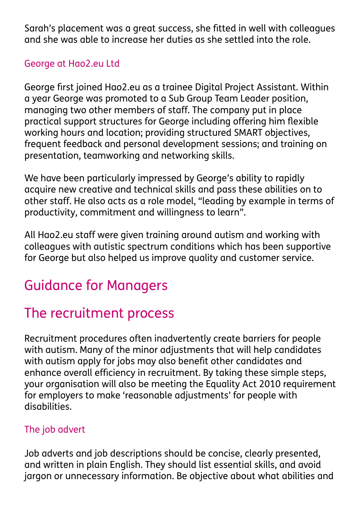Sarah's placement was a great success, she fitted in well with colleagues and she was able to increase her duties as she settled into the role.

#### George at Hao2.eu Ltd

George first joined Hao2.eu as a trainee Digital Project Assistant. Within a year George was promoted to a Sub Group Team Leader position, managing two other members of staff. The company put in place practical support structures for George including offering him flexible working hours and location; providing structured SMART objectives, frequent feedback and personal development sessions; and training on presentation, teamworking and networking skills.

We have been particularly impressed by George's ability to rapidly acquire new creative and technical skills and pass these abilities on to other staff. He also acts as a role model, "leading by example in terms of productivity, commitment and willingness to learn".

All Hao2.eu staff were given training around autism and working with colleagues with autistic spectrum conditions which has been supportive for George but also helped us improve quality and customer service.

## Guidance for Managers

## The recruitment process

Recruitment procedures often inadvertently create barriers for people with autism. Many of the minor adjustments that will help candidates with autism apply for jobs may also benefit other candidates and enhance overall efficiency in recruitment. By taking these simple steps, your organisation will also be meeting the Equality Act 2010 requirement for employers to make 'reasonable adjustments' for people with disabilities.

#### The job advert

Job adverts and job descriptions should be concise, clearly presented, and written in plain English. They should list essential skills, and avoid jargon or unnecessary information. Be objective about what abilities and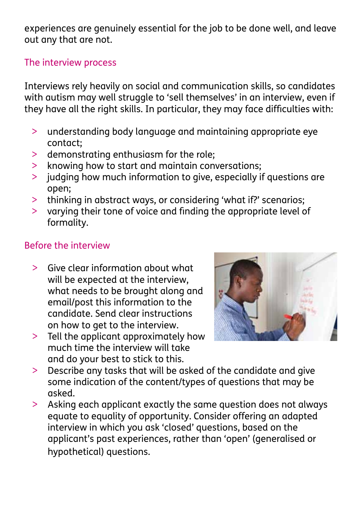experiences are genuinely essential for the job to be done well, and leave out any that are not.

#### The interview process

Interviews rely heavily on social and communication skills, so candidates with autism may well struggle to 'sell themselves' in an interview, even if they have all the right skills. In particular, they may face difficulties with:

- > understanding body language and maintaining appropriate eye contact;
- > demonstrating enthusiasm for the role;
- > knowing how to start and maintain conversations;
- > judging how much information to give, especially if questions are open;
- > thinking in abstract ways, or considering 'what if?' scenarios;
- > varying their tone of voice and finding the appropriate level of formality.

#### Before the interview

- > Give clear information about what will be expected at the interview, what needs to be brought along and email/post this information to the candidate. Send clear instructions on how to get to the interview.
- > Tell the applicant approximately how much time the interview will take and do your best to stick to this.



- > Describe any tasks that will be asked of the candidate and give some indication of the content/types of questions that may be asked.
- > Asking each applicant exactly the same question does not always equate to equality of opportunity. Consider offering an adapted interview in which you ask 'closed' questions, based on the applicant's past experiences, rather than 'open' (generalised or hypothetical) questions.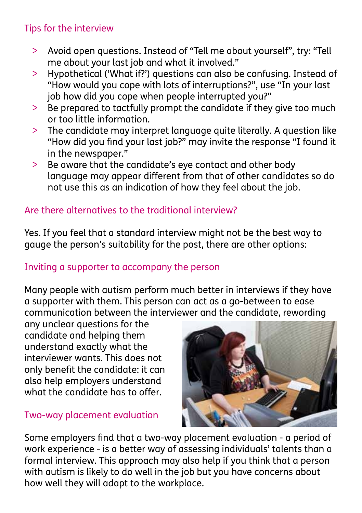#### Tips for the interview

- > Avoid open questions. Instead of "Tell me about yourself", try: "Tell me about your last job and what it involved."
- > Hypothetical ('What if?') questions can also be confusing. Instead of "How would you cope with lots of interruptions?", use "In your last job how did you cope when people interrupted you?"
- > Be prepared to tactfully prompt the candidate if they give too much or too little information.
- > The candidate may interpret language quite literally. A question like "How did you find your last job?" may invite the response "I found it in the newspaper."
- > Be aware that the candidate's eye contact and other body language may appear different from that of other candidates so do not use this as an indication of how they feel about the job.

#### Are there alternatives to the traditional interview?

Yes. If you feel that a standard interview might not be the best way to gauge the person's suitability for the post, there are other options:

#### Inviting a supporter to accompany the person

Many people with autism perform much better in interviews if they have a supporter with them. This person can act as a go-between to ease communication between the interviewer and the candidate, rewording

any unclear questions for the candidate and helping them understand exactly what the interviewer wants. This does not only benefit the candidate: it can also help employers understand what the candidate has to offer.

#### Two-way placement evaluation



Some employers find that a two-way placement evaluation - a period of work experience - is a better way of assessing individuals' talents than a formal interview. This approach may also help if you think that a person with autism is likely to do well in the job but you have concerns about how well they will adapt to the workplace.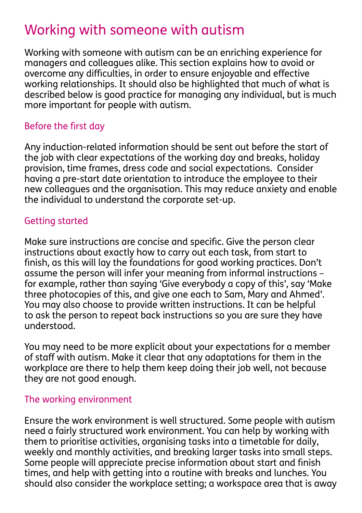## Working with someone with autism

Working with someone with autism can be an enriching experience for managers and colleagues alike. This section explains how to avoid or overcome any difficulties, in order to ensure enjoyable and effective working relationships. It should also be highlighted that much of what is described below is good practice for managing any individual, but is much more important for people with autism.

#### Before the first day

Any induction-related information should be sent out before the start of the job with clear expectations of the working day and breaks, holiday provision, time frames, dress code and social expectations. Consider having a pre-start date orientation to introduce the employee to their new colleagues and the organisation. This may reduce anxiety and enable the individual to understand the corporate set-up.

#### Getting started

Make sure instructions are concise and specific. Give the person clear instructions about exactly how to carry out each task, from start to finish, as this will lay the foundations for good working practices. Don't assume the person will infer your meaning from informal instructions – for example, rather than saying 'Give everybody a copy of this', say 'Make three photocopies of this, and give one each to Sam, Mary and Ahmed'. You may also choose to provide written instructions. It can be helpful to ask the person to repeat back instructions so you are sure they have understood.

You may need to be more explicit about your expectations for a member of staff with autism. Make it clear that any adaptations for them in the workplace are there to help them keep doing their job well, not because they are not good enough.

#### The working environment

Ensure the work environment is well structured. Some people with autism need a fairly structured work environment. You can help by working with them to prioritise activities, organising tasks into a timetable for daily, weekly and monthly activities, and breaking larger tasks into small steps. Some people will appreciate precise information about start and finish times, and help with getting into a routine with breaks and lunches. You should also consider the workplace setting; a workspace area that is away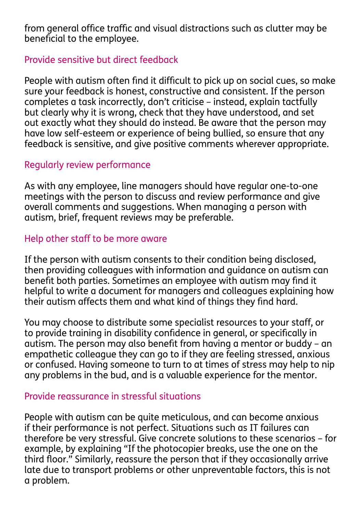from general office traffic and visual distractions such as clutter may be beneficial to the employee.

#### Provide sensitive but direct feedback

People with autism often find it difficult to pick up on social cues, so make sure your feedback is honest, constructive and consistent. If the person completes a task incorrectly, don't criticise – instead, explain tactfully but clearly why it is wrong, check that they have understood, and set out exactly what they should do instead. Be aware that the person may have low self-esteem or experience of being bullied, so ensure that any feedback is sensitive, and give positive comments wherever appropriate.

#### Regularly review performance

As with any employee, line managers should have regular one-to-one meetings with the person to discuss and review performance and give overall comments and suggestions. When managing a person with autism, brief, frequent reviews may be preferable.

#### Help other staff to be more aware

If the person with autism consents to their condition being disclosed, then providing colleagues with information and guidance on autism can benefit both parties. Sometimes an employee with autism may find it helpful to write a document for managers and colleagues explaining how their autism affects them and what kind of things they find hard.

You may choose to distribute some specialist resources to your staff, or to provide training in disability confidence in general, or specifically in autism. The person may also benefit from having a mentor or buddy – an empathetic colleague they can go to if they are feeling stressed, anxious or confused. Having someone to turn to at times of stress may help to nip any problems in the bud, and is a valuable experience for the mentor.

#### Provide reassurance in stressful situations

People with autism can be quite meticulous, and can become anxious if their performance is not perfect. Situations such as IT failures can therefore be very stressful. Give concrete solutions to these scenarios – for example, by explaining "If the photocopier breaks, use the one on the third floor." Similarly, reassure the person that if they occasionally arrive late due to transport problems or other unpreventable factors, this is not a problem.